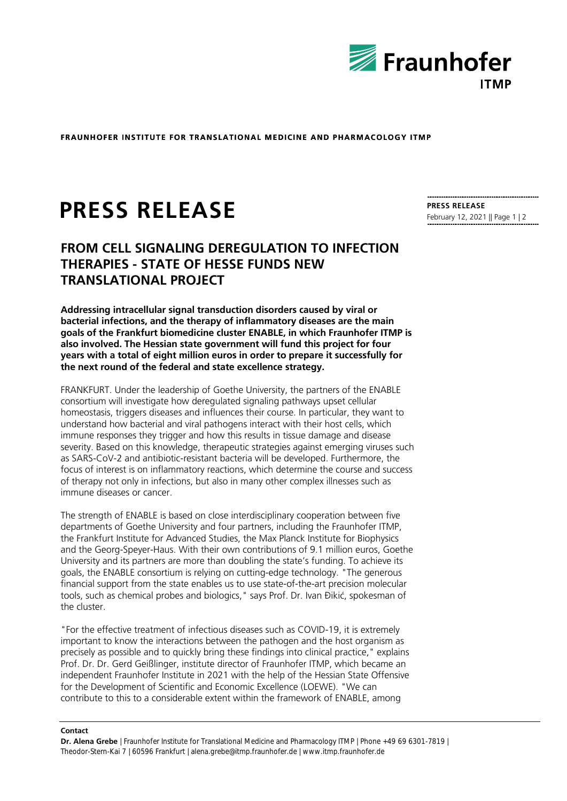

**FRAUNHOFER INSTITUTE FOR TRANSLATIONAL MEDICINE AND PHARMACOLOGY ITMP** 

# **PRESS RELEASE**

## **FROM CELL SIGNALING DEREGULATION TO INFECTION THERAPIES - STATE OF HESSE FUNDS NEW TRANSLATIONAL PROJECT**

**Addressing intracellular signal transduction disorders caused by viral or bacterial infections, and the therapy of inflammatory diseases are the main goals of the Frankfurt biomedicine cluster ENABLE, in which Fraunhofer ITMP is also involved. The Hessian state government will fund this project for four years with a total of eight million euros in order to prepare it successfully for the next round of the federal and state excellence strategy.**

FRANKFURT. Under the leadership of Goethe University, the partners of the ENABLE consortium will investigate how deregulated signaling pathways upset cellular homeostasis, triggers diseases and influences their course. In particular, they want to understand how bacterial and viral pathogens interact with their host cells, which immune responses they trigger and how this results in tissue damage and disease severity. Based on this knowledge, therapeutic strategies against emerging viruses such as SARS-CoV-2 and antibiotic-resistant bacteria will be developed. Furthermore, the focus of interest is on inflammatory reactions, which determine the course and success of therapy not only in infections, but also in many other complex illnesses such as immune diseases or cancer.

The strength of ENABLE is based on close interdisciplinary cooperation between five departments of Goethe University and four partners, including the Fraunhofer ITMP, the Frankfurt Institute for Advanced Studies, the Max Planck Institute for Biophysics and the Georg-Speyer-Haus. With their own contributions of 9.1 million euros, Goethe University and its partners are more than doubling the state's funding. To achieve its goals, the ENABLE consortium is relying on cutting-edge technology. "The generous financial support from the state enables us to use state-of-the-art precision molecular tools, such as chemical probes and biologics," says Prof. Dr. Ivan Đikić, spokesman of the cluster.

"For the effective treatment of infectious diseases such as COVID-19, it is extremely important to know the interactions between the pathogen and the host organism as precisely as possible and to quickly bring these findings into clinical practice," explains Prof. Dr. Dr. Gerd Geißlinger, institute director of Fraunhofer ITMP, which became an independent Fraunhofer Institute in 2021 with the help of the Hessian State Offensive for the Development of Scientific and Economic Excellence (LOEWE). "We can contribute to this to a considerable extent within the framework of ENABLE, among

#### **Contact**

**Dr. Alena Grebe** | Fraunhofer Institute for Translational Medicine and Pharmacology ITMP | Phone +49 69 6301-7819 | Theodor-Stern-Kai 7 | 60596 Frankfurt | alena.grebe@itmp.fraunhofer.de | www.itmp.fraunhofer.de

**PRESS RELEASE** February 12, 2021 || Page 1 | 2